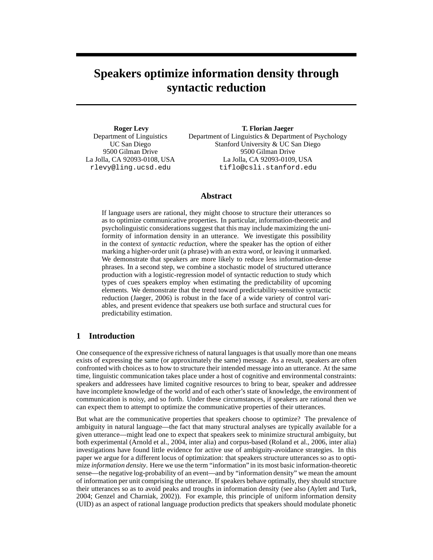# **Speakers optimize information density through syntactic reduction**

**Roger Levy** Department of Linguistics UC San Diego 9500 Gilman Drive La Jolla, CA 92093-0108, USA rlevy@ling.ucsd.edu

**T. Florian Jaeger** Department of Linguistics & Department of Psychology Stanford University & UC San Diego 9500 Gilman Drive La Jolla, CA 92093-0109, USA tiflo@csli.stanford.edu

## **Abstract**

If language users are rational, they might choose to structure their utterances so as to optimize communicative properties. In particular, information-theoretic and psycholinguistic considerations suggest that this may include maximizing the uniformity of information density in an utterance. We investigate this possibility in the context of *syntactic reduction*, where the speaker has the option of either marking a higher-order unit (a phrase) with an extra word, or leaving it unmarked. We demonstrate that speakers are more likely to reduce less information-dense phrases. In a second step, we combine a stochastic model of structured utterance production with a logistic-regression model of syntactic reduction to study which types of cues speakers employ when estimating the predictability of upcoming elements. We demonstrate that the trend toward predictability-sensitive syntactic reduction (Jaeger, 2006) is robust in the face of a wide variety of control variables, and present evidence that speakers use both surface and structural cues for predictability estimation.

# **1 Introduction**

One consequence of the expressive richness of natural languages is that usually more than one means exists of expressing the same (or approximately the same) message. As a result, speakers are often confronted with choices as to how to structure their intended message into an utterance. At the same time, linguistic communication takes place under a host of cognitive and environmental constraints: speakers and addressees have limited cognitive resources to bring to bear, speaker and addressee have incomplete knowledge of the world and of each other's state of knowledge, the environment of communication is noisy, and so forth. Under these circumstances, if speakers are rational then we can expect them to attempt to optimize the communicative properties of their utterances.

But what are the communicative properties that speakers choose to optimize? The prevalence of ambiguity in natural language—the fact that many structural analyses are typically available for a given utterance—might lead one to expect that speakers seek to minimize structural ambiguity, but both experimental (Arnold et al., 2004, inter alia) and corpus-based (Roland et al., 2006, inter alia) investigations have found little evidence for active use of ambiguity-avoidance strategies. In this paper we argue for a different locus of optimization: that speakers structure utterances so as to optimize *information density*. Here we use the term "information" in its most basic information-theoretic sense—the negative log-probability of an event—and by "information density" we mean the amount of information per unit comprising the utterance. If speakers behave optimally, they should structure their utterances so as to avoid peaks and troughs in information density (see also (Aylett and Turk, 2004; Genzel and Charniak, 2002)). For example, this principle of uniform information density (UID) as an aspect of rational language production predicts that speakers should modulate phonetic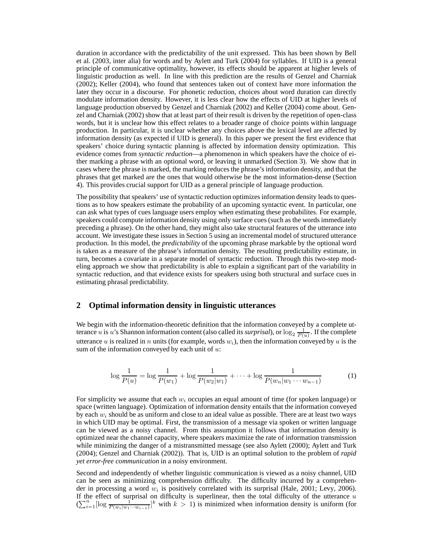duration in accordance with the predictability of the unit expressed. This has been shown by Bell et al. (2003, inter alia) for words and by Aylett and Turk (2004) for syllables. If UID is a general principle of communicative optimality, however, its effects should be apparent at higher levels of linguistic production as well. In line with this prediction are the results of Genzel and Charniak (2002); Keller (2004), who found that sentences taken out of context have more information the later they occur in a discourse. For phonetic reduction, choices about word duration can directly modulate information density. However, it is less clear how the effects of UID at higher levels of language production observed by Genzel and Charniak (2002) and Keller (2004) come about. Genzel and Charniak (2002) show that at least part of their result is driven by the repetition of open-class words, but it is unclear how this effect relates to a broader range of choice points within language production. In particular, it is unclear whether any choices above the lexical level are affected by information density (as expected if UID is general). In this paper we present the first evidence that speakers' choice during syntactic planning is affected by information density optimization. This evidence comes from *syntactic reduction*—a phenomenon in which speakers have the choice of either marking a phrase with an optional word, or leaving it unmarked (Section 3). We show that in cases where the phrase is marked, the marking reduces the phrase's information density, and that the phrases that get marked are the ones that would otherwise be the most information-dense (Section 4). This provides crucial support for UID as a general principle of language production.

The possibility that speakers' use of syntactic reduction optimizes information density leads to questions as to how speakers estimate the probability of an upcoming syntactic event. In particular, one can ask what types of cues language users employ when estimating these probabilites. For example, speakers could compute information density using only surface cues (such as the words immediately preceding a phrase). On the other hand, they might also take structural features of the utterance into account. We investigate these issues in Section 5 using an incremental model of structured utterance production. In this model, the *predictability* of the upcoming phrase markable by the optional word is taken as a measure of the phrase's information density. The resulting predictability estimate, in turn, becomes a covariate in a separate model of syntactic reduction. Through this two-step modeling approach we show that predictability is able to explain a significant part of the variability in syntactic reduction, and that evidence exists for speakers using both structural and surface cues in estimating phrasal predictability.

# **2 Optimal information density in linguistic utterances**

We begin with the information-theoretic definition that the information conveyed by a complete utterance u is u's Shannon information content (also called its *surprisal*), or  $\log_2 \frac{1}{P(u)}$ . If the complete utterance u is realized in n units (for example, words  $w_i$ ), then the information conveyed by u is the sum of the information conveyed by each unit of  $u$ :

$$
\log \frac{1}{P(u)} = \log \frac{1}{P(w_1)} + \log \frac{1}{P(w_2|w_1)} + \dots + \log \frac{1}{P(w_n|w_1 \cdots w_{n-1})}
$$
(1)

For simplicity we assume that each  $w_i$  occupies an equal amount of time (for spoken language) or space (written language). Optimization of information density entails that the information conveyed by each  $w_i$  should be as uniform and close to an ideal value as possible. There are at least two ways in which UID may be optimal. First, the transmission of a message via spoken or written language can be viewed as a noisy channel. From this assumption it follows that information density is optimized near the channel capacity, where speakers maximize the rate of information transmission while minimizing the danger of a mistransmitted message (see also Aylett (2000); Aylett and Turk (2004); Genzel and Charniak (2002)). That is, UID is an optimal solution to the problem of *rapid yet error-free communication* in a noisy environment.

Second and independently of whether linguistic communication is viewed as a noisy channel, UID can be seen as minimizing comprehension difficulty. The difficulty incurred by a comprehender in processing a word  $w_i$  is positively correlated with its surprisal (Hale, 2001; Levy, 2006). If the effect of surprisal on difficulty is superlinear, then the total difficulty of the utterance  $u$  $(\sum_{i=1}^n \left[\log \frac{1}{P(w_i|w_1\cdots w_{i-1})}\right]^k$  with  $k > 1$ ) is minimized when information density is uniform (for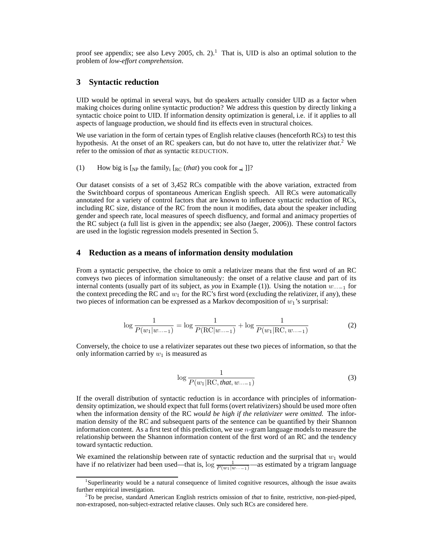proof see appendix; see also Levy 2005, ch. 2).<sup>1</sup> That is, UID is also an optimal solution to the problem of *low-effort comprehension*.

## **3 Syntactic reduction**

UID would be optimal in several ways, but do speakers actually consider UID as a factor when making choices during online syntactic production? We address this question by directly linking a syntactic choice point to UID. If information density optimization is general, i.e. if it applies to all aspects of language production, we should find its effects even in structural choices.

We use variation in the form of certain types of English relative clauses (henceforth RCs) to test this hypothesis. At the onset of an RC speakers can, but do not have to, utter the relativizer *that*. <sup>2</sup> We refer to the omission of *that* as syntactic REDUCTION.

(1) How big is  $\left[\rho_{\text{NP}}\right]$  the family<sub>i</sub>  $\left[\rho_{\text{EC}}\left(\text{that}\right)\right]$  you cook for  $\left[\rho_{\text{I}}\right]$ ]?

Our dataset consists of a set of 3,452 RCs compatible with the above variation, extracted from the Switchboard corpus of spontaneous American English speech. All RCs were automatically annotated for a variety of control factors that are known to influence syntactic reduction of RCs, including RC size, distance of the RC from the noun it modifies, data about the speaker including gender and speech rate, local measures of speech disfluency, and formal and animacy properties of the RC subject (a full list is given in the appendix; see also (Jaeger, 2006)). These control factors are used in the logistic regression models presented in Section 5.

## **4 Reduction as a means of information density modulation**

From a syntactic perspective, the choice to omit a relativizer means that the first word of an RC conveys two pieces of information simultaneously: the onset of a relative clause and part of its internal contents (usually part of its subject, as *you* in Example (1)). Using the notation  $w_{\cdots-1}$  for the context preceding the RC and  $w_1$  for the RC's first word (excluding the relativizer, if any), these two pieces of information can be expressed as a Markov decomposition of  $w_1$ 's surprisal:

$$
\log \frac{1}{P(w_1|w_{\dots-1})} = \log \frac{1}{P(\text{RC}|w_{\dots-1})} + \log \frac{1}{P(w_1|\text{RC},w_{\dots-1})}
$$
(2)

Conversely, the choice to use a relativizer separates out these two pieces of information, so that the only information carried by  $w_1$  is measured as

$$
\log \frac{1}{P(w_1|\text{RC}, \text{that}, w... - 1)}
$$
\n(3)

If the overall distribution of syntactic reduction is in accordance with principles of informationdensity optimization, we should expect that full forms (overt relativizers) should be used more often when the information density of the RC *would be high if the relativizer were omitted.* The information density of the RC and subsequent parts of the sentence can be quantified by their Shannon information content. As a first test of this prediction, we use  $n$ -gram language models to measure the relationship between the Shannon information content of the first word of an RC and the tendency toward syntactic reduction.

We examined the relationship between rate of syntactic reduction and the surprisal that  $w_1$  would have if no relativizer had been used—that is,  $\log \frac{1}{P(w_1|w...)}$ —as estimated by a trigram language

<sup>&</sup>lt;sup>1</sup>Superlinearity would be a natural consequence of limited cognitive resources, although the issue awaits further empirical investigation.

<sup>2</sup>To be precise, standard American English restricts omission of *that* to finite, restrictive, non-pied-piped, non-extraposed, non-subject-extracted relative clauses. Only such RCs are considered here.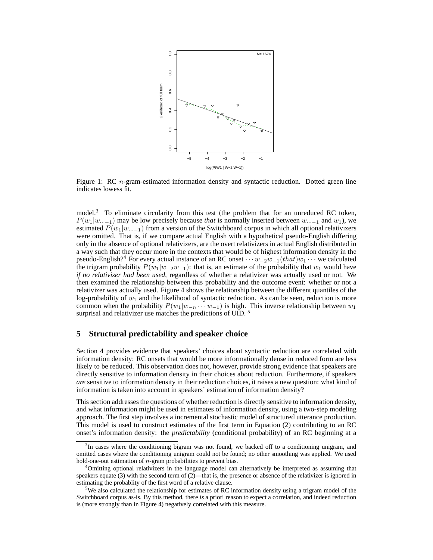

Figure 1: RC  $n$ -gram-estimated information density and syntactic reduction. Dotted green line indicates lowess fit.

model.<sup>3</sup> To eliminate circularity from this test (the problem that for an unreduced RC token,  $P(w_1|w..._{-1})$  may be low precisely because *that* is normally inserted between  $w..._{-1}$  and  $w_1$ ), we estimated  $P(w_1|w..._1)$  from a version of the Switchboard corpus in which all optional relativizers were omitted. That is, if we compare actual English with a hypothetical pseudo-English differing only in the absence of optional relativizers, are the overt relativizers in actual English distributed in a way such that they occur more in the contexts that would be of highest information density in the pseudo-English?<sup>4</sup> For every actual instance of an RC onset  $\cdots w_{-2}w_{-1}(that)w_1\cdots$  we calculated the trigram probability  $P(w_1|w_2w_{-1})$ : that is, an estimate of the probability that  $w_1$  would have *if no relativizer had been used*, regardless of whether a relativizer was actually used or not. We then examined the relationship between this probability and the outcome event: whether or not a relativizer was actually used. Figure 4 shows the relationship between the different quantiles of the log-probability of  $w_1$  and the likelihood of syntactic reduction. As can be seen, reduction is more common when the probability  $P(w_1|w_{-n} \cdots w_{-1})$  is high. This inverse relationship between  $w_1$ surprisal and relativizer use matches the predictions of UID.<sup>5</sup>

# **5 Structural predictability and speaker choice**

Section 4 provides evidence that speakers' choices about syntactic reduction are correlated with information density: RC onsets that would be more informationally dense in reduced form are less likely to be reduced. This observation does not, however, provide strong evidence that speakers are directly sensitive to information density in their choices about reduction. Furthermore, if speakers *are* sensitive to information density in their reduction choices, it raises a new question: what kind of information is taken into account in speakers' estimation of information density?

This section addresses the questions of whether reduction is directly sensitive to information density, and what information might be used in estimates of information density, using a two-step modeling approach. The first step involves a incremental stochastic model of structured utterance production. This model is used to construct estimates of the first term in Equation (2) contributing to an RC onset's information density: the *predictability* (conditional probability) of an RC beginning at a

<sup>&</sup>lt;sup>3</sup>In cases where the conditioning bigram was not found, we backed off to a conditioning unigram, and omitted cases where the conditioning unigram could not be found; no other smoothing was applied. We used hold-one-out estimation of *n*-gram probabilities to prevent bias.

<sup>4</sup>Omitting optional relativizers in the language model can alternatively be interpreted as assuming that speakers equate (3) with the second term of  $(2)$ —that is, the presence or absence of the relativizer is ignored in estimating the probablity of the first word of a relative clause.

<sup>&</sup>lt;sup>5</sup>We also calculated the relationship for estimates of RC information density using a trigram model of the Switchboard corpus as-is. By this method, there *is* a priori reason to expect a correlation, and indeed reduction is (more strongly than in Figure 4) negatively correlated with this measure.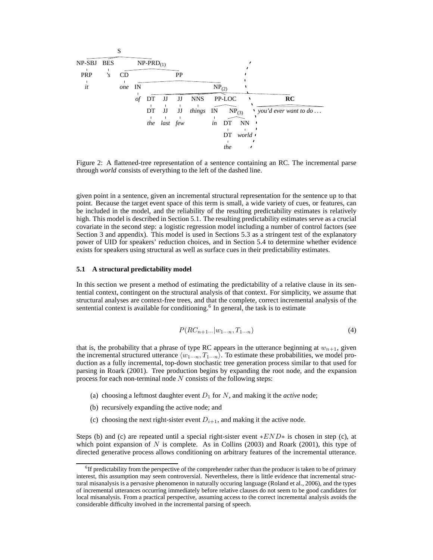

Figure 2: A flattened-tree representation of a sentence containing an RC. The incremental parse through *world* consists of everything to the left of the dashed line.

given point in a sentence, given an incremental structural representation for the sentence up to that point. Because the target event space of this term is small, a wide variety of cues, or features, can be included in the model, and the reliability of the resulting predictability estimates is relatively high. This model is described in Section 5.1. The resulting predictability estimates serve as a crucial covariate in the second step: a logistic regression model including a number of control factors (see Section 3 and appendix). This model is used in Sections 5.3 as a stringent test of the explanatory power of UID for speakers' reduction choices, and in Section 5.4 to determine whether evidence exists for speakers using structural as well as surface cues in their predictability estimates.

#### **5.1 A structural predictability model**

In this section we present a method of estimating the predictability of a relative clause in its sentential context, contingent on the structural analysis of that context. For simplicity, we assume that structural analyses are context-free trees, and that the complete, correct incremental analysis of the sentential context is available for conditioning.<sup>6</sup> In general, the task is to estimate

$$
P(RC_{n+1}...|w_{1\cdots n},T_{1\cdots n})\tag{4}
$$

that is, the probability that a phrase of type RC appears in the utterance beginning at  $w_{n+1}$ , given the incremental structured utterance  $\langle w_{1\cdots n}, T_{1\cdots n} \rangle$ . To estimate these probabilities, we model production as a fully incremental, top-down stochastic tree generation process similar to that used for parsing in Roark (2001). Tree production begins by expanding the root node, and the expansion process for each non-terminal node  $N$  consists of the following steps:

- (a) choosing a leftmost daughter event  $D_1$  for N, and making it the *active* node;
- (b) recursively expanding the active node; and
- (c) choosing the next right-sister event  $D_{i+1}$ , and making it the active node.

Steps (b) and (c) are repeated until a special right-sister event  $*END*$  is chosen in step (c), at which point expansion of N is complete. As in Collins (2003) and Roark (2001), this type of directed generative process allows conditioning on arbitrary features of the incremental utterance.

<sup>&</sup>lt;sup>6</sup>If predictability from the perspective of the comprehender rather than the producer is taken to be of primary interest, this assumption may seem controversial. Nevertheless, there is little evidence that incremental structural misanalysis is a pervasive phenomenon in naturally occuring language (Roland et al., 2006), and the types of incremental utterances occurring immediately before relative clauses do not seem to be good candidates for local misanalysis. From a practical perspective, assuming access to the correct incremental analysis avoids the considerable difficulty involved in the incremental parsing of speech.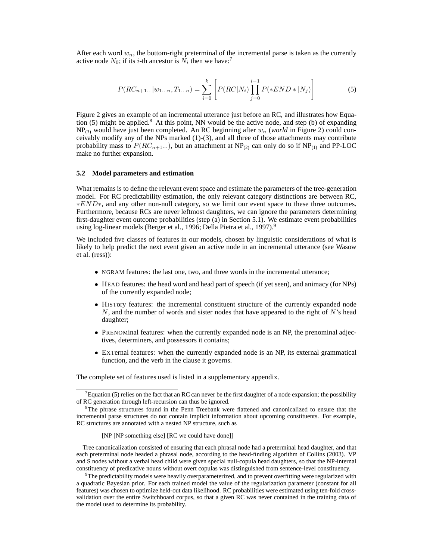After each word  $w_n$ , the bottom-right preterminal of the incremental parse is taken as the currently active node  $N_0$ ; if its *i*-th ancestor is  $\tilde{N}_i$  then we have:<sup>7</sup>

$$
P(RC_{n+1}...|w_{1...n},T_{1...n}) = \sum_{i=0}^{k} \left[ P(RC|N_i) \prod_{j=0}^{i-1} P(*END * |N_j) \right]
$$
(5)

Figure 2 gives an example of an incremental utterance just before an RC, and illustrates how Equation  $(5)$  might be applied.<sup>8</sup> At this point, NN would be the active node, and step (b) of expanding  $NP_{(3)}$  would have just been completed. An RC beginning after  $w_n$  (*world* in Figure 2) could conceivably modify any of the NPs marked (1)-(3), and all three of those attachments may contribute probability mass to  $P(RC_{n+1}...)$ , but an attachment at NP<sub>(2)</sub> can only do so if NP<sub>(1)</sub> and PP-LOC make no further expansion.

#### **5.2 Model parameters and estimation**

What remains is to define the relevant event space and estimate the parameters of the tree-generation model. For RC predictability estimation, the only relevant category distinctions are between RC, ∗END∗, and any other non-null category, so we limit our event space to these three outcomes. Furthermore, because RCs are never leftmost daughters, we can ignore the parameters determining first-daughter event outcome probabilities (step (a) in Section 5.1). We estimate event probabilities using log-linear models (Berger et al., 1996; Della Pietra et al., 1997).<sup>9</sup>

We included five classes of features in our models, chosen by linguistic considerations of what is likely to help predict the next event given an active node in an incremental utterance (see Wasow et al. (ress)):

- NGRAM features: the last one, two, and three words in the incremental utterance;
- HEAD features: the head word and head part of speech (if yet seen), and animacy (for NPs) of the currently expanded node;
- HISTory features: the incremental constituent structure of the currently expanded node  $N$ , and the number of words and sister nodes that have appeared to the right of  $N$ 's head daughter;
- PRENOMinal features: when the currently expanded node is an NP, the prenominal adjectives, determiners, and possessors it contains;
- EXTernal features: when the currently expanded node is an NP, its external grammatical function, and the verb in the clause it governs.

The complete set of features used is listed in a supplementary appendix.

Equation (5) relies on the fact that an RC can never be the first daughter of a node expansion; the possibility of RC generation through left-recursion can thus be ignored.

<sup>8</sup>The phrase structures found in the Penn Treebank were flattened and canonicalized to ensure that the incremental parse structures do not contain implicit information about upcoming constituents. For example, RC structures are annotated with a nested NP structure, such as

<sup>[</sup>NP [NP something else] [RC we could have done]]

Tree canonicalization consisted of ensuring that each phrasal node had a preterminal head daughter, and that each preterminal node headed a phrasal node, according to the head-finding algorithm of Collins (2003). VP and S nodes without a verbal head child were given special null-copula head daughters, so that the NP-internal constituency of predicative nouns without overt copulas was distinguished from sentence-level constituency.

 $^{9}$ The predictability models were heavily overparameterized, and to prevent overfitting were regularized with a quadratic Bayesian prior. For each trained model the value of the regularization parameter (constant for all features) was chosen to optimize held-out data likelihood. RC probabilities were estimated using ten-fold crossvalidation over the entire Switchboard corpus, so that a given RC was never contained in the training data of the model used to determine its probability.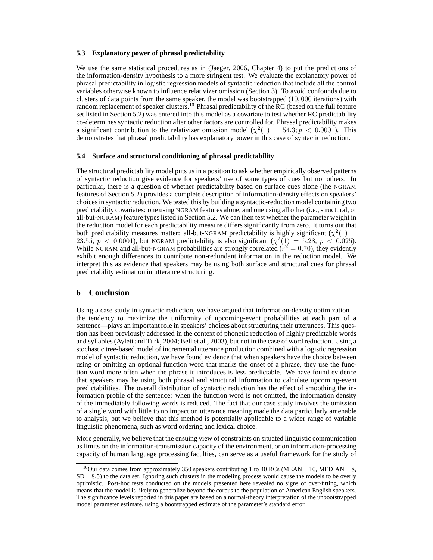#### **5.3 Explanatory power of phrasal predictability**

We use the same statistical procedures as in (Jaeger, 2006, Chapter 4) to put the predictions of the information-density hypothesis to a more stringent test. We evaluate the explanatory power of phrasal predictability in logistic regression models of syntactic reduction that include all the control variables otherwise known to influence relativizer omission (Section 3). To avoid confounds due to clusters of data points from the same speaker, the model was bootstrapped (10, 000 iterations) with random replacement of speaker clusters.<sup>10</sup> Phrasal predictability of the RC (based on the full feature set listed in Section 5.2) was entered into this model as a covariate to test whether RC predictability co-determines syntactic reduction after other factors are controlled for. Phrasal predictability makes a significant contribution to the relativizer omission model ( $\chi^2(1) = 54.3$ ;  $p < 0.0001$ ). This demonstrates that phrasal predictability has explanatory power in this case of syntactic reduction.

#### **5.4 Surface and structural conditioning of phrasal predictability**

The structural predictability model puts us in a position to ask whether empirically observed patterns of syntactic reduction give evidence for speakers' use of some types of cues but not others. In particular, there is a question of whether predictability based on surface cues alone (the NGRAM features of Section 5.2) provides a complete description of information-density effects on speakers' choices in syntactic reduction. We tested this by building a syntactic-reduction model containing two predictability covariates: one using NGRAM features alone, and one using all other (i.e., structural, or all-but-NGRAM) feature types listed in Section 5.2. We can then test whether the parameter weight in the reduction model for each predictability measure differs significantly from zero. It turns out that both predictability measures matter: all-but-NGRAM predictability is highly significant ( $\chi^2(1)$  = 23.55,  $p < 0.0001$ ), but NGRAM predictability is also significant  $(\chi^2(1) = 5.28, p < 0.025)$ . While NGRAM and all-but-NGRAM probabilities are strongly correlated ( $r^2 = 0.70$ ), they evidently exhibit enough differences to contribute non-redundant information in the reduction model. We interpret this as evidence that speakers may be using both surface and structural cues for phrasal predictability estimation in utterance structuring.

## **6 Conclusion**

Using a case study in syntactic reduction, we have argued that information-density optimization the tendency to maximize the uniformity of upcoming-event probabilities at each part of a sentence—plays an important role in speakers' choices about structuring their utterances. This question has been previously addressed in the context of phonetic reduction of highly predictable words and syllables (Aylett and Turk, 2004; Bell et al., 2003), but not in the case of word reduction. Using a stochastic tree-based model of incremental utterance production combined with a logistic regression model of syntactic reduction, we have found evidence that when speakers have the choice between using or omitting an optional function word that marks the onset of a phrase, they use the function word more often when the phrase it introduces is less predictable. We have found evidence that speakers may be using both phrasal and structural information to calculate upcoming-event predictabilities. The overall distribution of syntactic reduction has the effect of smoothing the information profile of the sentence: when the function word is not omitted, the information density of the immediately following words is reduced. The fact that our case study involves the omission of a single word with little to no impact on utterance meaning made the data particularly amenable to analysis, but we believe that this method is potentially applicable to a wider range of variable linguistic phenomena, such as word ordering and lexical choice.

More generally, we believe that the ensuing view of constraints on situated linguistic communication as limits on the information-transmission capacity of the environment, or on information-processing capacity of human language processing faculties, can serve as a useful framework for the study of

<sup>&</sup>lt;sup>10</sup>Our data comes from approximately 350 speakers contributing 1 to 40 RCs (MEAN= 10, MEDIAN= 8, SD= 8.5) to the data set. Ignoring such clusters in the modeling process would cause the models to be overly optimistic. Post-hoc tests conducted on the models presented here revealed no signs of over-fitting, which means that the model is likely to generalize beyond the corpus to the population of American English speakers. The significance levels reported in this paper are based on a normal-theory interpretation of the unbootstrapped model parameter estimate, using a bootstrapped estimate of the parameter's standard error.